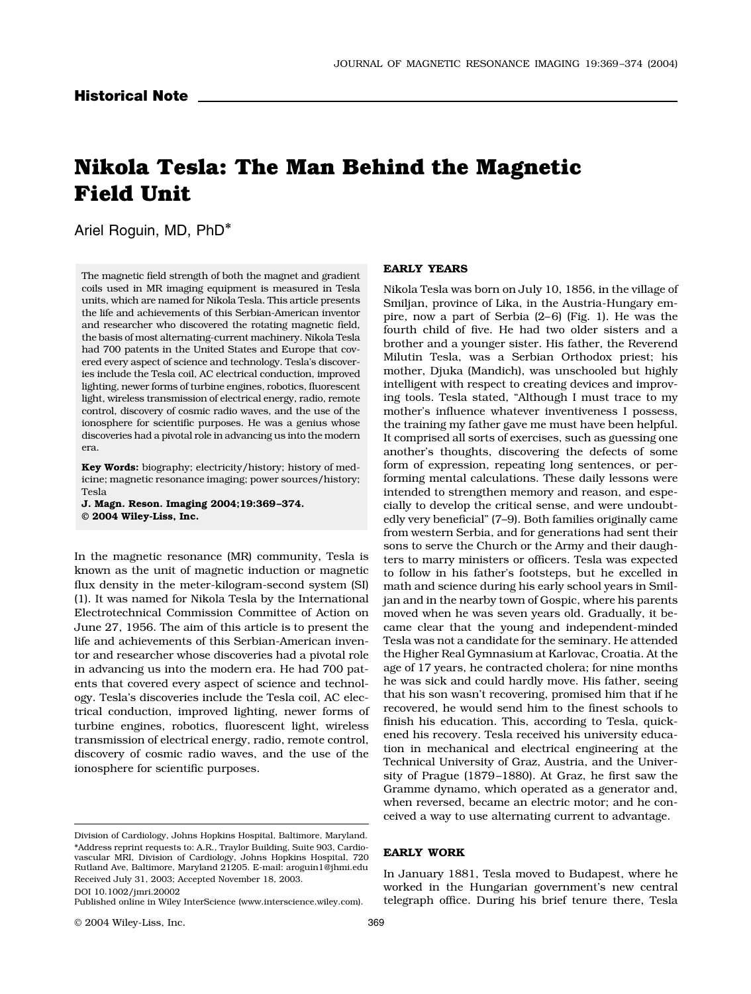# **Nikola Tesla: The Man Behind the Magnetic Field Unit**

Ariel Roguin, MD, PhD\*

The magnetic field strength of both the magnet and gradient coils used in MR imaging equipment is measured in Tesla units, which are named for Nikola Tesla. This article presents the life and achievements of this Serbian-American inventor and researcher who discovered the rotating magnetic field, the basis of most alternating-current machinery. Nikola Tesla had 700 patents in the United States and Europe that covered every aspect of science and technology. Tesla's discoveries include the Tesla coil, AC electrical conduction, improved lighting, newer forms of turbine engines, robotics, fluorescent light, wireless transmission of electrical energy, radio, remote control, discovery of cosmic radio waves, and the use of the ionosphere for scientific purposes. He was a genius whose discoveries had a pivotal role in advancing us into the modern era.

**Key Words:** biography; electricity/history; history of medicine; magnetic resonance imaging; power sources/history; Tesla

**J. Magn. Reson. Imaging 2004;19:369 –374.**

**© 2004 Wiley-Liss, Inc.**

In the magnetic resonance (MR) community, Tesla is known as the unit of magnetic induction or magnetic flux density in the meter-kilogram-second system (SI) (1). It was named for Nikola Tesla by the International Electrotechnical Commission Committee of Action on June 27, 1956. The aim of this article is to present the life and achievements of this Serbian-American inventor and researcher whose discoveries had a pivotal role in advancing us into the modern era. He had 700 patents that covered every aspect of science and technology. Tesla's discoveries include the Tesla coil, AC electrical conduction, improved lighting, newer forms of turbine engines, robotics, fluorescent light, wireless transmission of electrical energy, radio, remote control, discovery of cosmic radio waves, and the use of the ionosphere for scientific purposes.

DOI 10.1002/jmri.20002

© 2004 Wiley-Liss, Inc. 369

**EARLY WORK**

In January 1881, Tesla moved to Budapest, where he worked in the Hungarian government's new central telegraph office. During his brief tenure there, Tesla

#### **EARLY YEARS**

Nikola Tesla was born on July 10, 1856, in the village of Smiljan, province of Lika, in the Austria-Hungary empire, now a part of Serbia (2–6) (Fig. 1). He was the fourth child of five. He had two older sisters and a brother and a younger sister. His father, the Reverend Milutin Tesla, was a Serbian Orthodox priest; his mother, Djuka (Mandich), was unschooled but highly intelligent with respect to creating devices and improving tools. Tesla stated, "Although I must trace to my mother's influence whatever inventiveness I possess, the training my father gave me must have been helpful. It comprised all sorts of exercises, such as guessing one another's thoughts, discovering the defects of some form of expression, repeating long sentences, or performing mental calculations. These daily lessons were intended to strengthen memory and reason, and especially to develop the critical sense, and were undoubtedly very beneficial" (7–9). Both families originally came from western Serbia, and for generations had sent their sons to serve the Church or the Army and their daughters to marry ministers or officers. Tesla was expected to follow in his father's footsteps, but he excelled in math and science during his early school years in Smiljan and in the nearby town of Gospic, where his parents moved when he was seven years old. Gradually, it became clear that the young and independent-minded Tesla was not a candidate for the seminary. He attended the Higher Real Gymnasium at Karlovac, Croatia. At the age of 17 years, he contracted cholera; for nine months he was sick and could hardly move. His father, seeing that his son wasn't recovering, promised him that if he recovered, he would send him to the finest schools to finish his education. This, according to Tesla, quickened his recovery. Tesla received his university education in mechanical and electrical engineering at the Technical University of Graz, Austria, and the University of Prague (1879 –1880). At Graz, he first saw the Gramme dynamo, which operated as a generator and, when reversed, became an electric motor; and he conceived a way to use alternating current to advantage.

Division of Cardiology, Johns Hopkins Hospital, Baltimore, Maryland. \*Address reprint requests to: A.R., Traylor Building, Suite 903, Cardiovascular MRI, Division of Cardiology, Johns Hopkins Hospital, 720 Rutland Ave, Baltimore, Maryland 21205. E-mail: aroguin1@jhmi.edu Received July 31, 2003; Accepted November 18, 2003.

Published online in Wiley InterScience (www.interscience.wiley.com).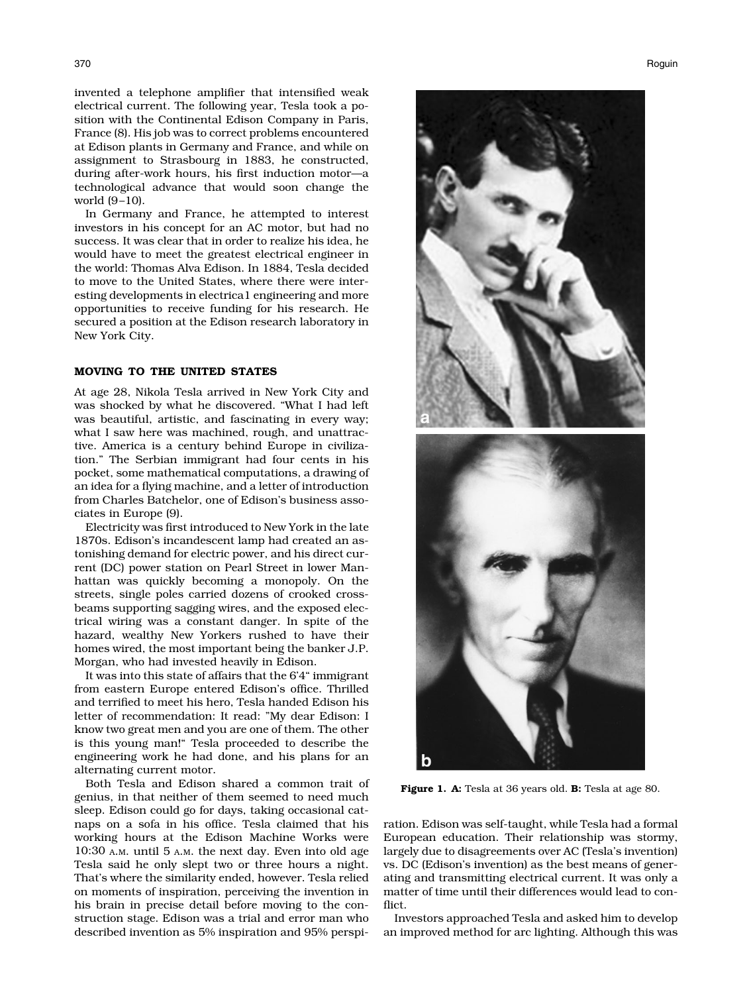invented a telephone amplifier that intensified weak electrical current. The following year, Tesla took a position with the Continental Edison Company in Paris, France (8). His job was to correct problems encountered at Edison plants in Germany and France, and while on assignment to Strasbourg in 1883, he constructed, during after-work hours, his first induction motor—a technological advance that would soon change the world  $(9-10)$ .

In Germany and France, he attempted to interest investors in his concept for an AC motor, but had no success. It was clear that in order to realize his idea, he would have to meet the greatest electrical engineer in the world: Thomas Alva Edison. In 1884, Tesla decided to move to the United States, where there were interesting developments in electrica1 engineering and more opportunities to receive funding for his research. He secured a position at the Edison research laboratory in New York City.

## **MOVING TO THE UNITED STATES**

At age 28, Nikola Tesla arrived in New York City and was shocked by what he discovered. "What I had left was beautiful, artistic, and fascinating in every way; what I saw here was machined, rough, and unattractive. America is a century behind Europe in civilization." The Serbian immigrant had four cents in his pocket, some mathematical computations, a drawing of an idea for a flying machine, and a letter of introduction from Charles Batchelor, one of Edison's business associates in Europe (9).

Electricity was first introduced to New York in the late 1870s. Edison's incandescent lamp had created an astonishing demand for electric power, and his direct current (DC) power station on Pearl Street in lower Manhattan was quickly becoming a monopoly. On the streets, single poles carried dozens of crooked crossbeams supporting sagging wires, and the exposed electrical wiring was a constant danger. In spite of the hazard, wealthy New Yorkers rushed to have their homes wired, the most important being the banker J.P. Morgan, who had invested heavily in Edison.

It was into this state of affairs that the 6'4" immigrant from eastern Europe entered Edison's office. Thrilled and terrified to meet his hero, Tesla handed Edison his letter of recommendation: It read: "My dear Edison: I know two great men and you are one of them. The other is this young man!" Tesla proceeded to describe the engineering work he had done, and his plans for an alternating current motor.

Both Tesla and Edison shared a common trait of genius, in that neither of them seemed to need much sleep. Edison could go for days, taking occasional catnaps on a sofa in his office. Tesla claimed that his working hours at the Edison Machine Works were 10:30 A.M. until 5 A.M. the next day. Even into old age Tesla said he only slept two or three hours a night. That's where the similarity ended, however. Tesla relied on moments of inspiration, perceiving the invention in his brain in precise detail before moving to the construction stage. Edison was a trial and error man who described invention as 5% inspiration and 95% perspi-



**Figure 1. A:** Tesla at 36 years old. **B:** Tesla at age 80.

ration. Edison was self-taught, while Tesla had a formal European education. Their relationship was stormy, largely due to disagreements over AC (Tesla's invention) vs. DC (Edison's invention) as the best means of generating and transmitting electrical current. It was only a matter of time until their differences would lead to conflict.

Investors approached Tesla and asked him to develop an improved method for arc lighting. Although this was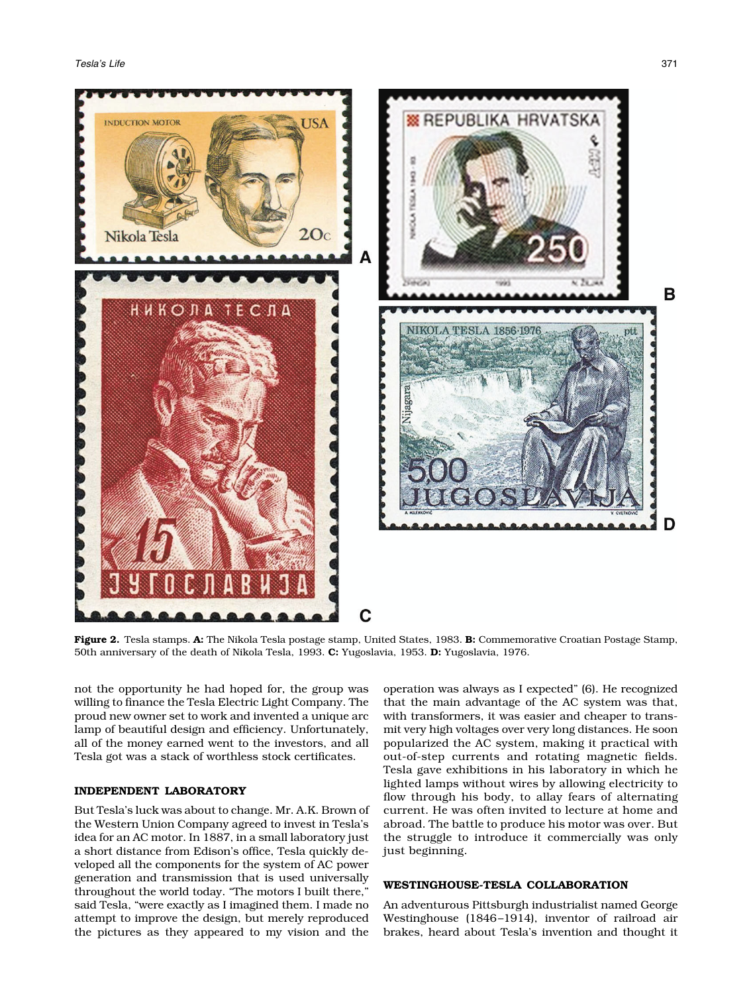



**Figure 2.** Tesla stamps. **A:** The Nikola Tesla postage stamp, United States, 1983. **B:** Commemorative Croatian Postage Stamp, 50th anniversary of the death of Nikola Tesla, 1993. **C:** Yugoslavia, 1953. **D:** Yugoslavia, 1976.

not the opportunity he had hoped for, the group was willing to finance the Tesla Electric Light Company. The proud new owner set to work and invented a unique arc lamp of beautiful design and efficiency. Unfortunately, all of the money earned went to the investors, and all Tesla got was a stack of worthless stock certificates.

# **INDEPENDENT LABORATORY**

But Tesla's luck was about to change. Mr. A.K. Brown of the Western Union Company agreed to invest in Tesla's idea for an AC motor. In 1887, in a small laboratory just a short distance from Edison's office, Tesla quickly developed all the components for the system of AC power generation and transmission that is used universally throughout the world today. "The motors I built there," said Tesla, "were exactly as I imagined them. I made no attempt to improve the design, but merely reproduced the pictures as they appeared to my vision and the

operation was always as I expected" (6). He recognized that the main advantage of the AC system was that, with transformers, it was easier and cheaper to transmit very high voltages over very long distances. He soon popularized the AC system, making it practical with out-of-step currents and rotating magnetic fields. Tesla gave exhibitions in his laboratory in which he lighted lamps without wires by allowing electricity to flow through his body, to allay fears of alternating current. He was often invited to lecture at home and abroad. The battle to produce his motor was over. But the struggle to introduce it commercially was only just beginning.

# **WESTINGHOUSE-TESLA COLLABORATION**

An adventurous Pittsburgh industrialist named George Westinghouse (1846 –1914), inventor of railroad air brakes, heard about Tesla's invention and thought it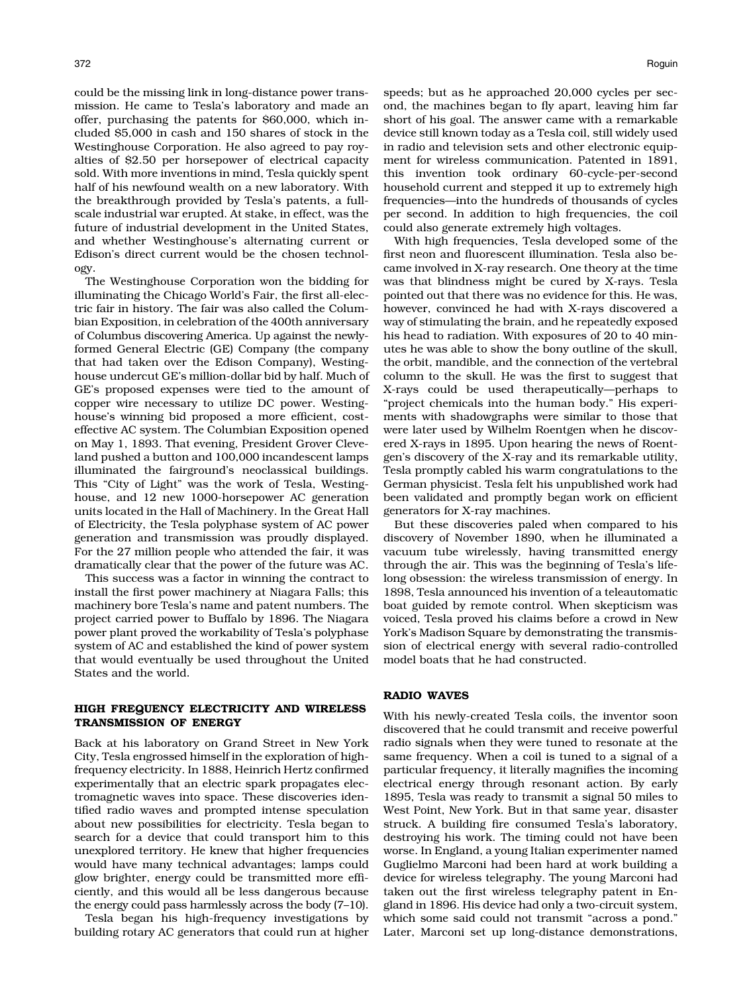could be the missing link in long-distance power transmission. He came to Tesla's laboratory and made an offer, purchasing the patents for \$60,000, which included \$5,000 in cash and 150 shares of stock in the Westinghouse Corporation. He also agreed to pay royalties of \$2.50 per horsepower of electrical capacity sold. With more inventions in mind, Tesla quickly spent half of his newfound wealth on a new laboratory. With the breakthrough provided by Tesla's patents, a fullscale industrial war erupted. At stake, in effect, was the future of industrial development in the United States, and whether Westinghouse's alternating current or Edison's direct current would be the chosen technology.

The Westinghouse Corporation won the bidding for illuminating the Chicago World's Fair, the first all-electric fair in history. The fair was also called the Columbian Exposition, in celebration of the 400th anniversary of Columbus discovering America. Up against the newlyformed General Electric (GE) Company (the company that had taken over the Edison Company), Westinghouse undercut GE's million-dollar bid by half. Much of GE's proposed expenses were tied to the amount of copper wire necessary to utilize DC power. Westinghouse's winning bid proposed a more efficient, costeffective AC system. The Columbian Exposition opened on May 1, 1893. That evening, President Grover Cleveland pushed a button and 100,000 incandescent lamps illuminated the fairground's neoclassical buildings. This "City of Light" was the work of Tesla, Westinghouse, and 12 new 1000-horsepower AC generation units located in the Hall of Machinery. In the Great Hall of Electricity, the Tesla polyphase system of AC power generation and transmission was proudly displayed. For the 27 million people who attended the fair, it was dramatically clear that the power of the future was AC.

This success was a factor in winning the contract to install the first power machinery at Niagara Falls; this machinery bore Tesla's name and patent numbers. The project carried power to Buffalo by 1896. The Niagara power plant proved the workability of Tesla's polyphase system of AC and established the kind of power system that would eventually be used throughout the United States and the world.

### **HIGH FREQUENCY ELECTRICITY AND WIRELESS TRANSMISSION OF ENERGY**

Back at his laboratory on Grand Street in New York City, Tesla engrossed himself in the exploration of highfrequency electricity. In 1888, Heinrich Hertz confirmed experimentally that an electric spark propagates electromagnetic waves into space. These discoveries identified radio waves and prompted intense speculation about new possibilities for electricity. Tesla began to search for a device that could transport him to this unexplored territory. He knew that higher frequencies would have many technical advantages; lamps could glow brighter, energy could be transmitted more efficiently, and this would all be less dangerous because the energy could pass harmlessly across the body (7–10).

Tesla began his high-frequency investigations by building rotary AC generators that could run at higher speeds; but as he approached 20,000 cycles per second, the machines began to fly apart, leaving him far short of his goal. The answer came with a remarkable device still known today as a Tesla coil, still widely used in radio and television sets and other electronic equipment for wireless communication. Patented in 1891, this invention took ordinary 60-cycle-per-second household current and stepped it up to extremely high frequencies—into the hundreds of thousands of cycles per second. In addition to high frequencies, the coil could also generate extremely high voltages.

With high frequencies, Tesla developed some of the first neon and fluorescent illumination. Tesla also became involved in X-ray research. One theory at the time was that blindness might be cured by X-rays. Tesla pointed out that there was no evidence for this. He was, however, convinced he had with X-rays discovered a way of stimulating the brain, and he repeatedly exposed his head to radiation. With exposures of 20 to 40 minutes he was able to show the bony outline of the skull, the orbit, mandible, and the connection of the vertebral column to the skull. He was the first to suggest that X-rays could be used therapeutically—perhaps to "project chemicals into the human body." His experiments with shadowgraphs were similar to those that were later used by Wilhelm Roentgen when he discovered X-rays in 1895. Upon hearing the news of Roentgen's discovery of the X-ray and its remarkable utility, Tesla promptly cabled his warm congratulations to the German physicist. Tesla felt his unpublished work had been validated and promptly began work on efficient generators for X-ray machines.

But these discoveries paled when compared to his discovery of November 1890, when he illuminated a vacuum tube wirelessly, having transmitted energy through the air. This was the beginning of Tesla's lifelong obsession: the wireless transmission of energy. In 1898, Tesla announced his invention of a teleautomatic boat guided by remote control. When skepticism was voiced, Tesla proved his claims before a crowd in New York's Madison Square by demonstrating the transmission of electrical energy with several radio-controlled model boats that he had constructed.

### **RADIO WAVES**

With his newly-created Tesla coils, the inventor soon discovered that he could transmit and receive powerful radio signals when they were tuned to resonate at the same frequency. When a coil is tuned to a signal of a particular frequency, it literally magnifies the incoming electrical energy through resonant action. By early 1895, Tesla was ready to transmit a signal 50 miles to West Point, New York. But in that same year, disaster struck. A building fire consumed Tesla's laboratory, destroying his work. The timing could not have been worse. In England, a young Italian experimenter named Guglielmo Marconi had been hard at work building a device for wireless telegraphy. The young Marconi had taken out the first wireless telegraphy patent in England in 1896. His device had only a two-circuit system, which some said could not transmit "across a pond." Later, Marconi set up long-distance demonstrations,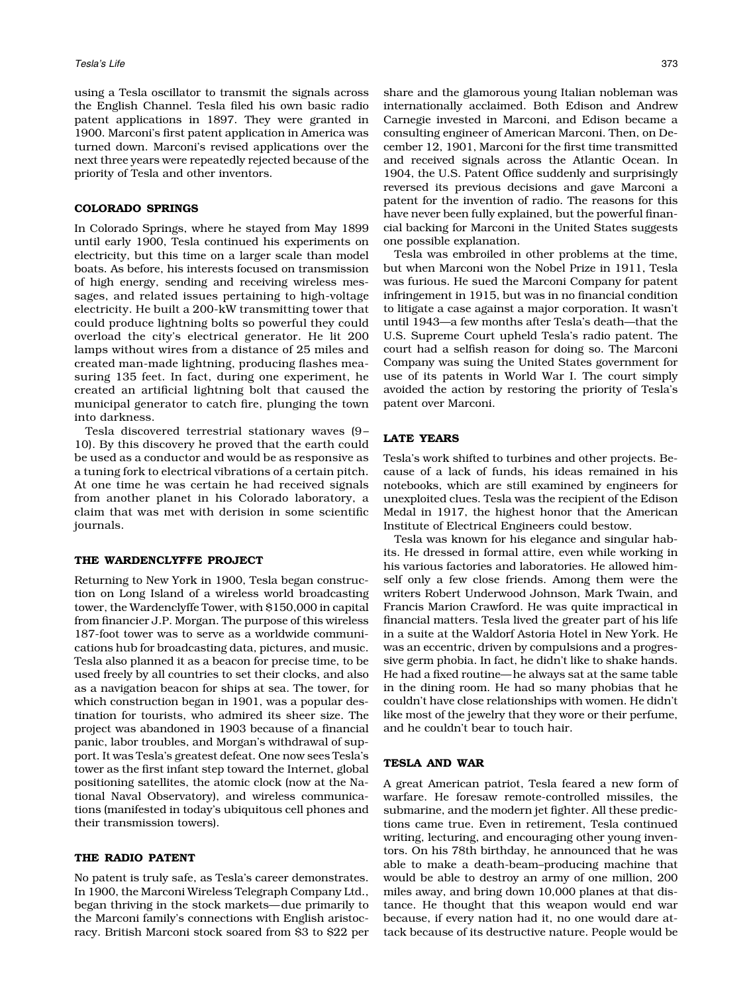using a Tesla oscillator to transmit the signals across the English Channel. Tesla filed his own basic radio patent applications in 1897. They were granted in 1900. Marconi's first patent application in America was turned down. Marconi's revised applications over the next three years were repeatedly rejected because of the priority of Tesla and other inventors.

#### **COLORADO SPRINGS**

In Colorado Springs, where he stayed from May 1899 until early 1900, Tesla continued his experiments on electricity, but this time on a larger scale than model boats. As before, his interests focused on transmission of high energy, sending and receiving wireless messages, and related issues pertaining to high-voltage electricity. He built a 200-kW transmitting tower that could produce lightning bolts so powerful they could overload the city's electrical generator. He lit 200 lamps without wires from a distance of 25 miles and created man-made lightning, producing flashes measuring 135 feet. In fact, during one experiment, he created an artificial lightning bolt that caused the municipal generator to catch fire, plunging the town into darkness.

Tesla discovered terrestrial stationary waves (9 – 10). By this discovery he proved that the earth could be used as a conductor and would be as responsive as a tuning fork to electrical vibrations of a certain pitch. At one time he was certain he had received signals from another planet in his Colorado laboratory, a claim that was met with derision in some scientific journals.

#### **THE WARDENCLYFFE PROJECT**

Returning to New York in 1900, Tesla began construction on Long Island of a wireless world broadcasting tower, the Wardenclyffe Tower, with \$150,000 in capital from financier J.P. Morgan. The purpose of this wireless 187-foot tower was to serve as a worldwide communications hub for broadcasting data, pictures, and music. Tesla also planned it as a beacon for precise time, to be used freely by all countries to set their clocks, and also as a navigation beacon for ships at sea. The tower, for which construction began in 1901, was a popular destination for tourists, who admired its sheer size. The project was abandoned in 1903 because of a financial panic, labor troubles, and Morgan's withdrawal of support. It was Tesla's greatest defeat. One now sees Tesla's tower as the first infant step toward the Internet, global positioning satellites, the atomic clock (now at the National Naval Observatory), and wireless communications (manifested in today's ubiquitous cell phones and their transmission towers).

#### **THE RADIO PATENT**

No patent is truly safe, as Tesla's career demonstrates. In 1900, the Marconi Wireless Telegraph Company Ltd., began thriving in the stock markets—due primarily to the Marconi family's connections with English aristocracy. British Marconi stock soared from \$3 to \$22 per share and the glamorous young Italian nobleman was internationally acclaimed. Both Edison and Andrew Carnegie invested in Marconi, and Edison became a consulting engineer of American Marconi. Then, on December 12, 1901, Marconi for the first time transmitted and received signals across the Atlantic Ocean. In 1904, the U.S. Patent Office suddenly and surprisingly reversed its previous decisions and gave Marconi a patent for the invention of radio. The reasons for this have never been fully explained, but the powerful financial backing for Marconi in the United States suggests one possible explanation.

Tesla was embroiled in other problems at the time, but when Marconi won the Nobel Prize in 1911, Tesla was furious. He sued the Marconi Company for patent infringement in 1915, but was in no financial condition to litigate a case against a major corporation. It wasn't until 1943—a few months after Tesla's death—that the U.S. Supreme Court upheld Tesla's radio patent. The court had a selfish reason for doing so. The Marconi Company was suing the United States government for use of its patents in World War I. The court simply avoided the action by restoring the priority of Tesla's patent over Marconi.

# **LATE YEARS**

Tesla's work shifted to turbines and other projects. Because of a lack of funds, his ideas remained in his notebooks, which are still examined by engineers for unexploited clues. Tesla was the recipient of the Edison Medal in 1917, the highest honor that the American Institute of Electrical Engineers could bestow.

Tesla was known for his elegance and singular habits. He dressed in formal attire, even while working in his various factories and laboratories. He allowed himself only a few close friends. Among them were the writers Robert Underwood Johnson, Mark Twain, and Francis Marion Crawford. He was quite impractical in financial matters. Tesla lived the greater part of his life in a suite at the Waldorf Astoria Hotel in New York. He was an eccentric, driven by compulsions and a progressive germ phobia. In fact, he didn't like to shake hands. He had a fixed routine—he always sat at the same table in the dining room. He had so many phobias that he couldn't have close relationships with women. He didn't like most of the jewelry that they wore or their perfume, and he couldn't bear to touch hair.

#### **TESLA AND WAR**

A great American patriot, Tesla feared a new form of warfare. He foresaw remote-controlled missiles, the submarine, and the modern jet fighter. All these predictions came true. Even in retirement, Tesla continued writing, lecturing, and encouraging other young inventors. On his 78th birthday, he announced that he was able to make a death-beam–producing machine that would be able to destroy an army of one million, 200 miles away, and bring down 10,000 planes at that distance. He thought that this weapon would end war because, if every nation had it, no one would dare attack because of its destructive nature. People would be